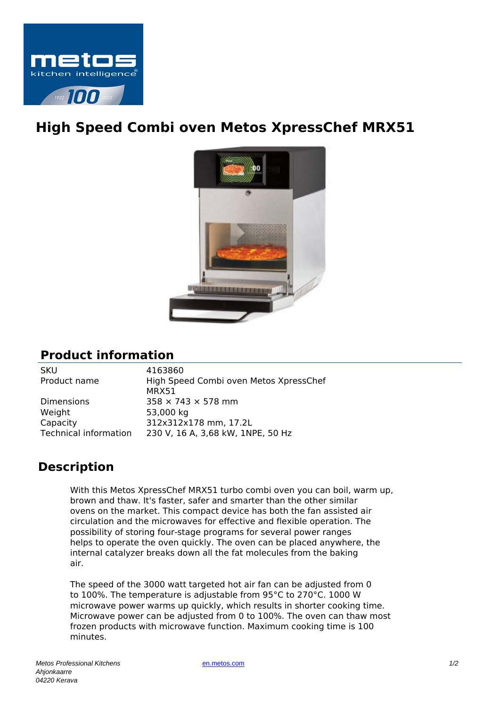

## **High Speed Combi oven Metos XpressChef MRX51**



## **Product information**

| <b>SKU</b>                   | 4163860                                |
|------------------------------|----------------------------------------|
| Product name                 | High Speed Combi oven Metos XpressChef |
|                              | MRX51                                  |
| <b>Dimensions</b>            | $358 \times 743 \times 578$ mm         |
| Weight                       | 53,000 kg                              |
| Capacity                     | 312x312x178 mm, 17.2L                  |
| <b>Technical information</b> | 230 V, 16 A, 3,68 kW, 1NPE, 50 Hz      |
|                              |                                        |

## **Description**

With this Metos XpressChef MRX51 turbo combi oven you can boil, warm up, brown and thaw. It's faster, safer and smarter than the other similar ovens on the market. This compact device has both the fan assisted air circulation and the microwaves for effective and flexible operation. The possibility of storing four-stage programs for several power ranges helps to operate the oven quickly. The oven can be placed anywhere, the internal catalyzer breaks down all the fat molecules from the baking air.

The speed of the 3000 watt targeted hot air fan can be adjusted from 0 to 100%. The temperature is adjustable from 95°C to 270°C. 1000 W microwave power warms up quickly, which results in shorter cooking time. Microwave power can be adjusted from 0 to 100%. The oven can thaw most frozen products with microwave function. Maximum cooking time is 100 minutes.